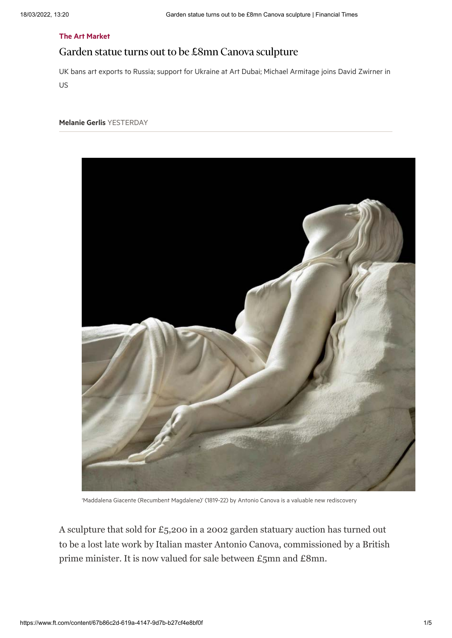## [The Art Market](https://www.ft.com/stream/1dba8a99-f8b3-4aad-8c07-4be0b9ae6cb2)

# Garden statue turns out to be £8mn Canova sculpture

UK bans art exports to Russia; support for Ukraine at Art Dubai; Michael Armitage joins David Zwirner in US

## [Melanie Gerlis](https://www.ft.com/stream/265180ed-c972-3800-9465-41ac416643af) YESTERDAY



'Maddalena Giacente (Recumbent Magdalene)' (1819-22) by Antonio Canova is a valuable new rediscovery

A sculpture that sold for £5,200 in a 2002 garden statuary auction has turned out to be a lost late work by Italian master Antonio Canova, commissioned by a British prime minister. It is now valued for sale between £5mn and £8mn.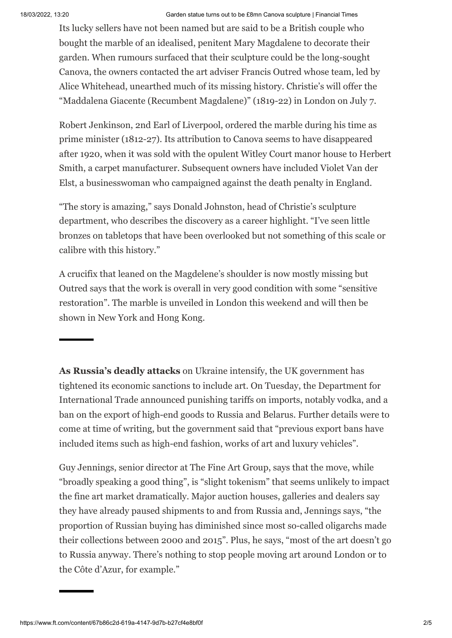### 18/03/2022, 13:20 Garden statue turns out to be £8mn Canova sculpture | Financial Times

Its lucky sellers have not been named but are said to be a British couple who bought the marble of an idealised, penitent Mary Magdalene to decorate their garden. When rumours surfaced that their sculpture could be the long-sought Canova, the owners contacted the art adviser Francis Outred whose team, led by Alice Whitehead, unearthed much of its missing history. Christie's will offer the "Maddalena Giacente (Recumbent Magdalene)" (1819-22) in London on July 7.

Robert Jenkinson, 2nd Earl of Liverpool, ordered the marble during his time as prime minister (1812-27). Its attribution to Canova seems to have disappeared after 1920, when it was sold with the opulent Witley Court manor house to Herbert Smith, a carpet manufacturer. Subsequent owners have included Violet Van der Elst, a businesswoman who campaigned against the death penalty in England.

"The story is amazing," says Donald Johnston, head of Christie's sculpture department, who describes the discovery as a career highlight. "I've seen little bronzes on tabletops that have been overlooked but not something of this scale or calibre with this history."

A crucifix that leaned on the Magdelene's shoulder is now mostly missing but Outred says that the work is overall in very good condition with some "sensitive restoration". The marble is unveiled in London this weekend and will then be shown in New York and Hong Kong.

**As Russia's deadly attacks** on Ukraine intensify, the UK government has tightened its economic sanctions to include art. On Tuesday, the Department for International Trade announced punishing tariffs on imports, notably vodka, and a ban on the export of high-end goods to Russia and Belarus. Further details were to come at time of writing, but the government said that "previous export bans have included items such as high-end fashion, works of art and luxury vehicles".

Guy Jennings, senior director at The Fine Art Group, says that the move, while "broadly speaking a good thing", is "slight tokenism" that seems unlikely to impact the fine art market dramatically. Major auction houses, galleries and dealers say they have already paused shipments to and from Russia and, Jennings says, "the proportion of Russian buying has diminished since most so-called oligarchs made their collections between 2000 and 2015". Plus, he says, "most of the art doesn't go to Russia anyway. There's nothing to stop people moving art around London or to the Côte d'Azur, for example."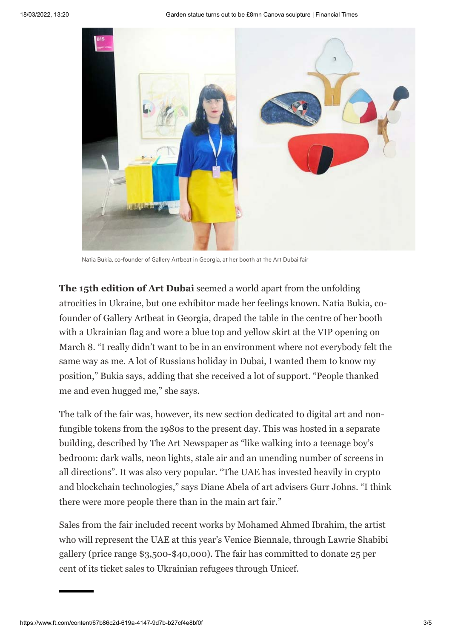

Natia Bukia, co-founder of Gallery Artbeat in Georgia, at her booth at the Art Dubai fair

**The 15th edition of Art Dubai** seemed a world apart from the unfolding atrocities in Ukraine, but one exhibitor made her feelings known. Natia Bukia, cofounder of Gallery Artbeat in Georgia, draped the table in the centre of her booth with a Ukrainian flag and wore a blue top and yellow skirt at the VIP opening on March 8. "I really didn't want to be in an environment where not everybody felt the same way as me. A lot of Russians holiday in Dubai, I wanted them to know my position," Bukia says, adding that she received a lot of support. "People thanked me and even hugged me," she says.

The talk of the fair was, however, its new section dedicated to digital art and nonfungible tokens from the 1980s to the present day. This was hosted in a separate building, described by The Art Newspaper as "like walking into a teenage boy's bedroom: dark walls, neon lights, stale air and an unending number of screens in all directions". It was also very popular. "The UAE has invested heavily in crypto and blockchain technologies," says Diane Abela of art advisers Gurr Johns. "I think there were more people there than in the main art fair."

Sales from the fair included recent works by Mohamed Ahmed Ibrahim, the artist who will represent the UAE at this year's Venice Biennale, through Lawrie Shabibi gallery (price range \$3,500-\$40,000). The fair has committed to donate 25 per cent of its ticket sales to Ukrainian refugees through Unicef.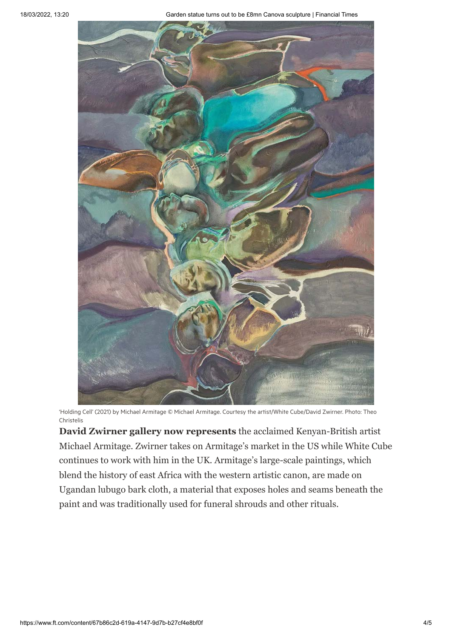18/03/2022, 13:20 Garden statue turns out to be £8mn Canova sculpture | Financial Times



'Holding Cell' (2021) by Michael Armitage © Michael Armitage. Courtesy the artist/White Cube/David Zwirner. Photo: Theo Christelis

**David Zwirner gallery now represents** the acclaimed Kenyan-British artist Michael Armitage. Zwirner takes on Armitage's market in the US while White Cube continues to work with him in the UK. Armitage's large-scale paintings, which blend the history of east Africa with the western artistic canon, are made on Ugandan lubugo bark cloth, a material that exposes holes and seams beneath the paint and was traditionally used for funeral shrouds and other rituals.